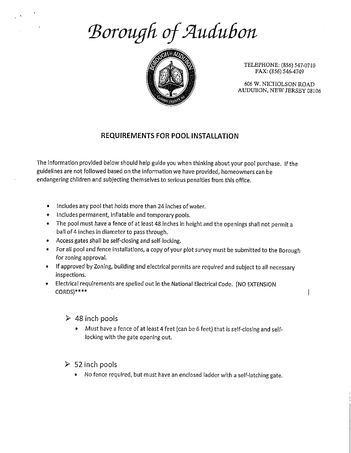## Borough of Audubon



TELEPHONE: (856) 547-0710 FAX: (856) 546-4749

606 W. NICHOLSON ROAD AUDUBON, NEW JERSEY 08106

 $\overline{\phantom{a}}$ 

## REQUIREMENTS FOR POOL INSTAILATION

The information provided below should help guide you when thinking about your pool purchase. If the guidelines are not followed based on the information we have provided, homeowners can be endangering children and subjecting themselves to serious penalties from this office.

- \* Includes any pool that holds more than 24 inches of water.
- Includes permanent, inflatable and temporary pools.
- \* The pool must have a fence of at least 48 inches in height and the openings shall not permit a ball of 4 inches in diameter to pass through.
- \* Access gates shall be self-closing and self-locking.
- \* For all pool and fence installations, a copy of your plot survey must be submitted to the Borough for zoning approval.
- \* If approved by Zoning, building and electrical permits are required and subject to all necessary inspections.
- @ Electrical requirements are spelled out in the National Electrical Code. (NO EXTENSION CORDS)\*\*\*\*
	- $\geq 48$  inch pools
		- @ Must have a fence of at least 4 feet (can be 6 feet) that is self-closing and selflocking with the gate opening out.
	- $\geq$  52 inch pools
		- @ No fence required, but must have an enclosed ladder with a self-latching gate.